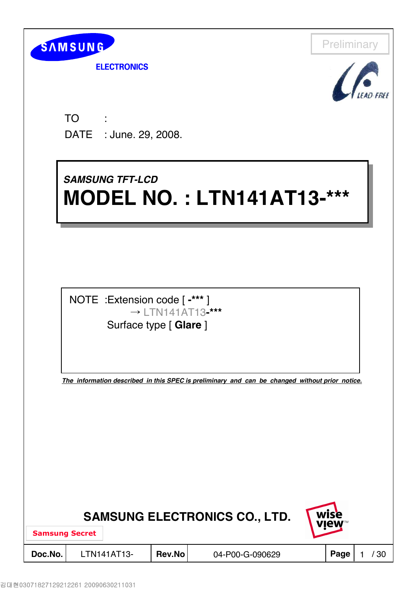

**ELECTRONICS** 



TO DATE : June. 29, 2008. : 11

## *SAMSUNG TFT-LCD* **MODEL NO. : LTN141AT13-\*\*\* MODEL NO. : LTN141AT13-\*\*\*** *SAMSUNG TFT-LCD*



*The information described in this SPEC is preliminary and can be changed without prior notice.*

|                        | <b>SAMSUNG ELECTRONICS CO., LTD.</b> |        | wise<br><b>VIEW™</b> |  |      |  |
|------------------------|--------------------------------------|--------|----------------------|--|------|--|
| <b>Samsung Secret</b>  |                                      |        |                      |  |      |  |
| Doc.No.<br>LTN141AT13- |                                      | Rev.No | 04-P00-G-090629      |  | Page |  |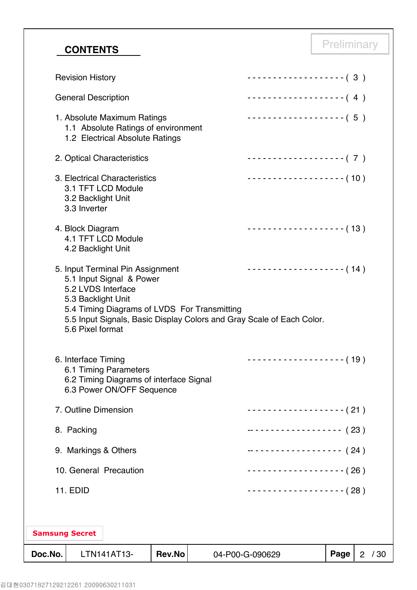# **CONTENTS** Preliminary

| Doc.No. |                            | LTN141AT13-                                                                                              | Rev.No |                                              | 04-P00-G-090629                                                                             | Page | $\overline{2}$ | /30 |
|---------|----------------------------|----------------------------------------------------------------------------------------------------------|--------|----------------------------------------------|---------------------------------------------------------------------------------------------|------|----------------|-----|
|         | <b>Samsung Secret</b>      |                                                                                                          |        |                                              |                                                                                             |      |                |     |
|         | <b>11. EDID</b>            |                                                                                                          |        |                                              | $\cdots$ (28)                                                                               |      |                |     |
|         |                            | 10. General Precaution                                                                                   |        |                                              | $------------(26)$                                                                          |      |                |     |
|         |                            | 9. Markings & Others                                                                                     |        |                                              | ------------------- (24)                                                                    |      |                |     |
|         | 8. Packing                 |                                                                                                          |        |                                              | ------------------- (23)                                                                    |      |                |     |
|         |                            | 7. Outline Dimension                                                                                     |        |                                              | ------------------- (21)                                                                    |      |                |     |
|         | 6. Interface Timing        | 6.1 Timing Parameters<br>6.2 Timing Diagrams of interface Signal<br>6.3 Power ON/OFF Sequence            |        |                                              | -------------------- (19)                                                                   |      |                |     |
|         | 5.6 Pixel format           | 5. Input Terminal Pin Assignment<br>5.1 Input Signal & Power<br>5.2 LVDS Interface<br>5.3 Backlight Unit |        | 5.4 Timing Diagrams of LVDS For Transmitting | $------------(14)$<br>5.5 Input Signals, Basic Display Colors and Gray Scale of Each Color. |      |                |     |
|         | 4. Block Diagram           | 4.1 TFT LCD Module<br>4.2 Backlight Unit                                                                 |        |                                              | -------------------- (13)                                                                   |      |                |     |
|         | 3.3 Inverter               | 3. Electrical Characteristics<br>3.1 TFT LCD Module<br>3.2 Backlight Unit                                |        |                                              | $------------(10)$                                                                          |      |                |     |
|         |                            | 2. Optical Characteristics                                                                               |        |                                              | ------------------- (7)                                                                     |      |                |     |
|         |                            | 1. Absolute Maximum Ratings<br>1.1 Absolute Ratings of environment<br>1.2 Electrical Absolute Ratings    |        |                                              | $\cdots$ (5)                                                                                |      |                |     |
|         | <b>General Description</b> |                                                                                                          |        |                                              | $\cdots \cdots \cdots \cdots \cdots \cdots \cdots \cdots (4)$                               |      |                |     |
|         | <b>Revision History</b>    |                                                                                                          |        |                                              | -------------------- (3)                                                                    |      |                |     |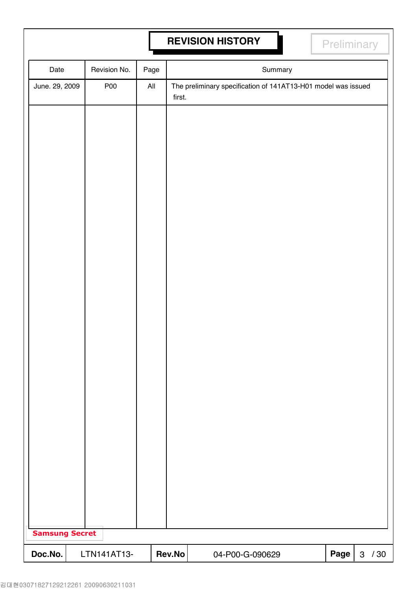# **REVISION HISTORY REVISION HISTORY**

| Date                  |  | Revision No. | Page           |        |  |  |                 | Summary |                                                               |      |              |     |
|-----------------------|--|--------------|----------------|--------|--|--|-----------------|---------|---------------------------------------------------------------|------|--------------|-----|
| June. 29, 2009        |  | <b>P00</b>   | $\mathsf{All}$ | first. |  |  |                 |         | The preliminary specification of 141AT13-H01 model was issued |      |              |     |
|                       |  |              |                |        |  |  |                 |         |                                                               |      |              |     |
|                       |  |              |                |        |  |  |                 |         |                                                               |      |              |     |
|                       |  |              |                |        |  |  |                 |         |                                                               |      |              |     |
|                       |  |              |                |        |  |  |                 |         |                                                               |      |              |     |
|                       |  |              |                |        |  |  |                 |         |                                                               |      |              |     |
|                       |  |              |                |        |  |  |                 |         |                                                               |      |              |     |
|                       |  |              |                |        |  |  |                 |         |                                                               |      |              |     |
|                       |  |              |                |        |  |  |                 |         |                                                               |      |              |     |
|                       |  |              |                |        |  |  |                 |         |                                                               |      |              |     |
|                       |  |              |                |        |  |  |                 |         |                                                               |      |              |     |
|                       |  |              |                |        |  |  |                 |         |                                                               |      |              |     |
|                       |  |              |                |        |  |  |                 |         |                                                               |      |              |     |
|                       |  |              |                |        |  |  |                 |         |                                                               |      |              |     |
|                       |  |              |                |        |  |  |                 |         |                                                               |      |              |     |
|                       |  |              |                |        |  |  |                 |         |                                                               |      |              |     |
|                       |  |              |                |        |  |  |                 |         |                                                               |      |              |     |
|                       |  |              |                |        |  |  |                 |         |                                                               |      |              |     |
|                       |  |              |                |        |  |  |                 |         |                                                               |      |              |     |
|                       |  |              |                |        |  |  |                 |         |                                                               |      |              |     |
|                       |  |              |                |        |  |  |                 |         |                                                               |      |              |     |
|                       |  |              |                |        |  |  |                 |         |                                                               |      |              |     |
| <b>Samsung Secret</b> |  |              |                |        |  |  |                 |         |                                                               |      |              |     |
| Doc.No.               |  | LTN141AT13-  |                | Rev.No |  |  | 04-P00-G-090629 |         |                                                               | Page | $\mathbf{3}$ | /30 |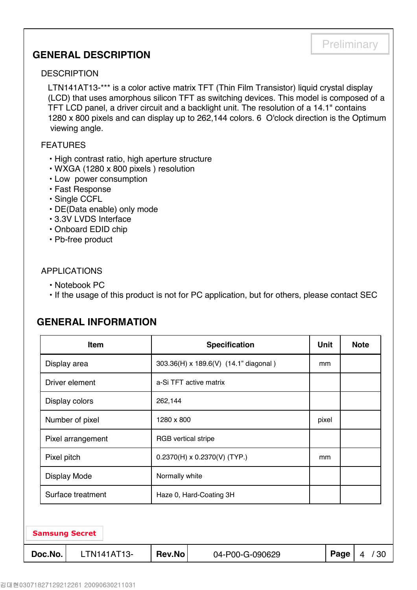## **GENERAL DESCRIPTION**

#### **DESCRIPTION**

LTN141AT13-\*\*\* is a color active matrix TFT (Thin Film Transistor) liquid crystal display (LCD) that uses amorphous silicon TFT as switching devices. This model is composed of a TFT LCD panel, a driver circuit and a backlight unit. The resolution of a 14.1" contains 1280 x 800 pixels and can display up to 262,144 colors. 6 O'clock direction is the Optimum viewing angle.

**Preliminary** 

#### FEATURES

- High contrast ratio, high aperture structure
- WXGA (1280 x 800 pixels ) resolution
- Low power consumption
- Fast Response
- Single CCFL
- DE(Data enable) only mode
- 3.3V LVDS Interface
- Onboard EDID chip
- Pb-free product

### APPLICATIONS

- Notebook PC
- If the usage of this product is not for PC application, but for others, please contact SEC

## **GENERAL INFORMATION**

|              | <b>Item</b>           |                            | <b>Specification</b>                  | <b>Unit</b> |      | <b>Note</b> |  |  |
|--------------|-----------------------|----------------------------|---------------------------------------|-------------|------|-------------|--|--|
| Display area |                       |                            | 303.36(H) x 189.6(V) (14.1" diagonal) | mm          |      |             |  |  |
|              | Driver element        |                            | a-Si TFT active matrix                |             |      |             |  |  |
|              | Display colors        |                            |                                       |             |      |             |  |  |
|              | Number of pixel       | 1280 x 800                 |                                       | pixel       |      |             |  |  |
|              | Pixel arrangement     | <b>RGB</b> vertical stripe |                                       |             |      |             |  |  |
| Pixel pitch  |                       |                            | $0.2370(H) \times 0.2370(V)$ (TYP.)   | mm          |      |             |  |  |
|              | <b>Display Mode</b>   | Normally white             |                                       |             |      |             |  |  |
|              | Surface treatment     |                            | Haze 0, Hard-Coating 3H               |             |      |             |  |  |
|              |                       |                            |                                       |             |      |             |  |  |
|              | <b>Samsung Secret</b> |                            |                                       |             |      |             |  |  |
| Doc.No.      | LTN141AT13-           | Rev.No                     | 04-P00-G-090629                       |             | Page | /30<br>4    |  |  |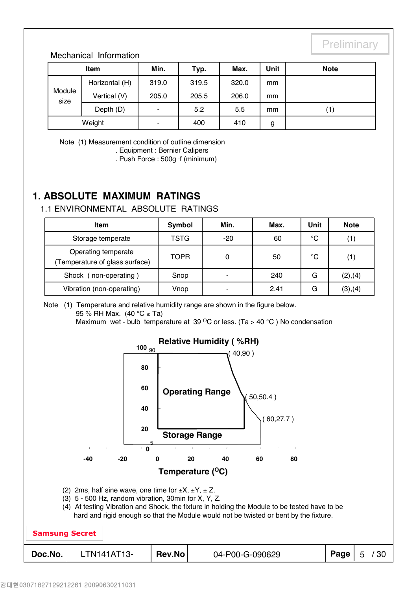### Mechanical Information

|                | <b>Item</b>    | Min.  | Typ.  | Max.  | Unit | <b>Note</b> |
|----------------|----------------|-------|-------|-------|------|-------------|
|                | Horizontal (H) | 319.0 | 319.5 | 320.0 | mm   |             |
| Module<br>size | Vertical (V)   | 205.0 | 205.5 | 206.0 | mm   |             |
|                | Depth (D)      | -     | 5.2   | 5.5   | mm   | (1)         |
| Weight         |                | ۰     | 400   | 410   | g    |             |

Note (1) Measurement condition of outline dimension

. Equipment : Bernier Calipers

. Push Force : 500g ⋅f (minimum)

## **1. ABSOLUTE MAXIMUM RATINGS**

## 1.1 ENVIRONMENTAL ABSOLUTE RATINGS

| Item                                                  | Symbol      | Min.                     | Max. | Unit | <b>Note</b> |
|-------------------------------------------------------|-------------|--------------------------|------|------|-------------|
| Storage temperate                                     | TSTG        | $-20$                    | 60   | °C   | (1)         |
| Operating temperate<br>(Temperature of glass surface) | <b>TOPR</b> | 0                        | 50   | °C   | (1)         |
| Shock (<br>non-operating)                             | Snop        | $\blacksquare$           | 240  | G    | (2), (4)    |
| Vibration (non-operating)                             | Vnop        | $\overline{\phantom{0}}$ | 2.41 | G    | (3), (4)    |

Note (1) Temperature and relative humidity range are shown in the figure below. 95 % RH Max. (40 °C ≥ Ta) Maximum wet - bulb temperature at 39  $^{\circ}$ C or less. (Ta > 40  $^{\circ}$ C) No condensation

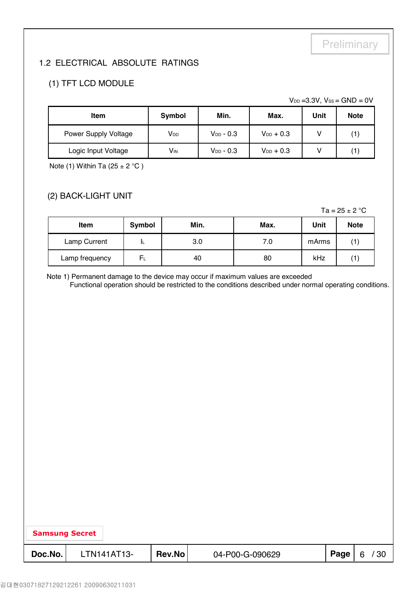## 1.2 ELECTRICAL ABSOLUTE RATINGS

## (1) TFT LCD MODULE

 $V_{DD} = 3.3V$ ,  $V_{SS} = GND = 0V$ 

| <b>Item</b>          | Symbol                 | Min.           | Max.           | Unit | <b>Note</b> |
|----------------------|------------------------|----------------|----------------|------|-------------|
| Power Supply Voltage | <b>V</b> <sub>DD</sub> | $V_{DD}$ - 0.3 | $V_{DD}$ + 0.3 |      |             |
| Logic Input Voltage  | <b>V<sub>IN</sub></b>  | $V_{DD}$ - 0.3 | $V_{DD}$ + 0.3 |      |             |

Note (1) Within Ta  $(25 \pm 2 \degree C)$ 

## (2) BACK-LIGHT UNIT

Ta =  $25 \pm 2$  °C

| <b>Item</b>    | Symbol | Min. | Max. | Unit  | <b>Note</b> |
|----------------|--------|------|------|-------|-------------|
| Lamp Current   | IL     | 3.0  | 7.0  | mArms |             |
| Lamp frequency | $F_L$  | 40   | 80   | kHz   |             |

Note 1) Permanent damage to the device may occur if maximum values are exceeded

Functional operation should be restricted to the conditions described under normal operating conditions.

| <b>Samsung Secret</b> |         |             |        |                 |      |          |
|-----------------------|---------|-------------|--------|-----------------|------|----------|
|                       |         |             |        |                 |      |          |
|                       | Doc.No. | LTN141AT13- | Rev.No | 04-P00-G-090629 | Page | /30<br>6 |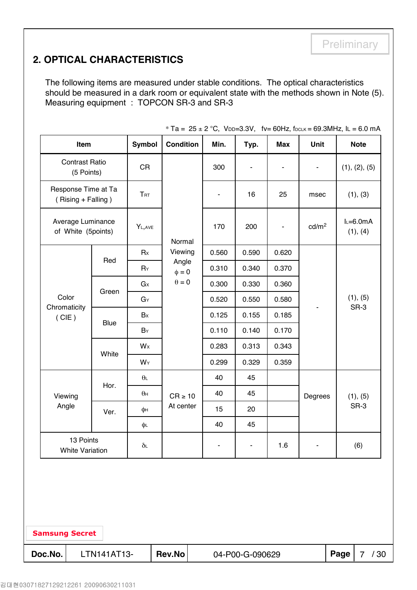## **2. OPTICAL CHARACTERISTICS**

The following items are measured under stable conditions. The optical characteristics should be measured in a dark room or equivalent state with the methods shown in Note (5). Measuring equipment : TOPCON SR-3 and SR-3

|                                                                      | Item                                |                     | <b>Symbol</b>  | <b>Condition</b>    |  | Min.  | Typ.                         | <b>Max</b> | Unit                     |      | <b>Note</b>           |
|----------------------------------------------------------------------|-------------------------------------|---------------------|----------------|---------------------|--|-------|------------------------------|------------|--------------------------|------|-----------------------|
|                                                                      | <b>Contrast Ratio</b><br>(5 Points) |                     | <b>CR</b>      |                     |  | 300   | $\qquad \qquad \blacksquare$ | ä,         | $\overline{\phantom{a}}$ |      | (1), (2), (5)         |
|                                                                      | (Rising + Falling)                  | Response Time at Ta | <b>TRT</b>     |                     |  |       | 16                           | 25         | msec                     |      | (1), (3)              |
|                                                                      | of White (5points)                  | Average Luminance   | YL, AVE        | Normal              |  | 170   | 200                          | ٠          | cd/m <sup>2</sup>        |      | $L=6.0mA$<br>(1), (4) |
|                                                                      |                                     |                     | Rx             | Viewing             |  | 0.560 | 0.590                        | 0.620      |                          |      |                       |
|                                                                      |                                     | Red                 | $R_Y$          | Angle<br>$\phi = 0$ |  | 0.310 | 0.340                        | 0.370      |                          |      |                       |
|                                                                      |                                     |                     | G <sub>x</sub> | $\theta=0$          |  | 0.300 | 0.330                        | 0.360      |                          |      |                       |
| Color                                                                |                                     | Green               | GY             |                     |  | 0.520 | 0.550                        | 0.580      |                          |      | (1), (5)              |
| Chromaticity<br>(CIE)                                                |                                     | <b>Blue</b>         | Bx             |                     |  | 0.125 | 0.155                        | 0.185      |                          |      | SR-3                  |
|                                                                      |                                     |                     | $B_Y$          |                     |  | 0.110 | 0.140                        | 0.170      |                          |      |                       |
|                                                                      |                                     |                     | Wx             |                     |  | 0.283 | 0.313                        | 0.343      |                          |      |                       |
|                                                                      |                                     | White               | WY             |                     |  | 0.299 | 0.329                        | 0.359      |                          |      |                       |
|                                                                      |                                     | Hor.                | $\theta$ L     |                     |  | 40    | 45                           |            |                          |      |                       |
| Viewing                                                              |                                     |                     | $\theta$ н     | $CR \ge 10$         |  | 40    | 45                           |            | Degrees                  |      | (1), (5)              |
| Angle                                                                |                                     | Ver.                | φн             | At center           |  | 15    | 20                           |            |                          |      | SR-3                  |
|                                                                      |                                     |                     | φL             |                     |  | 40    | 45                           |            |                          |      |                       |
| 13 Points<br>1.6<br>(6)<br>$\delta$ L<br>۰<br><b>White Variation</b> |                                     |                     |                |                     |  |       |                              |            |                          |      |                       |
| <b>Samsung Secret</b>                                                |                                     |                     |                |                     |  |       |                              |            |                          |      |                       |
| Doc.No.                                                              |                                     | LTN141AT13-         |                | Rev.No              |  |       | 04-P00-G-090629              |            |                          | Page | /30<br>$\overline{7}$ |

\* Ta =  $25 \pm 2$  °C, VDD=3.3V, fv= 60Hz, fDCLK = 69.3MHz, lL = 6.0 mA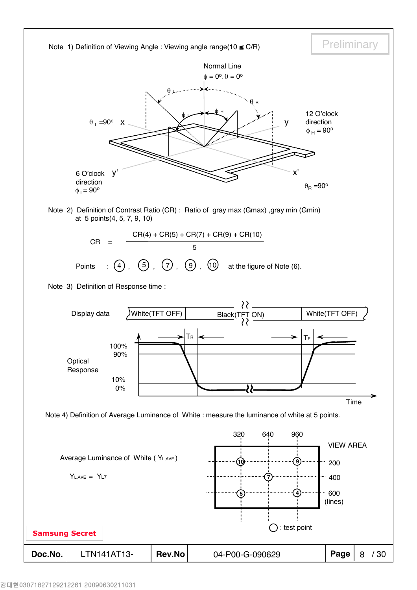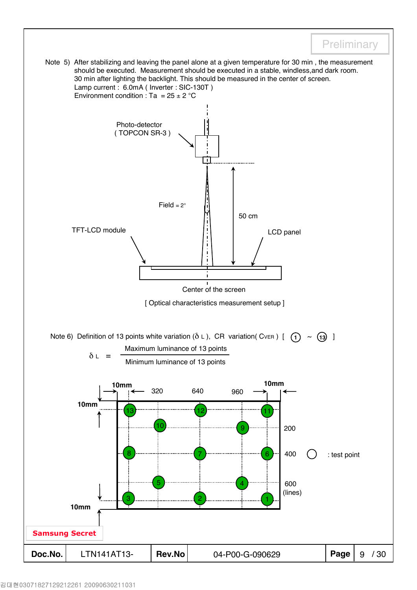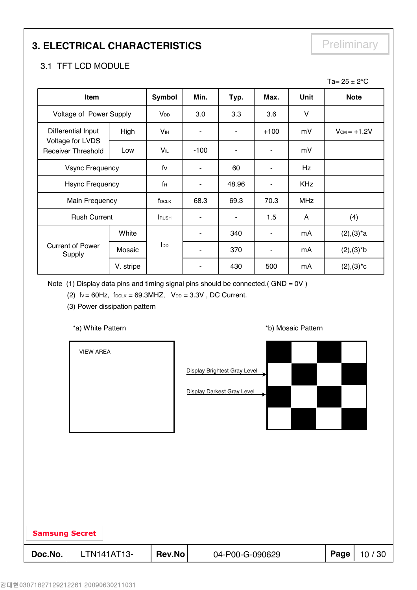# **3. ELECTRICAL CHARACTERISTICS** Preliminary

## 3.1 TFT LCD MODULE

|                                               |           |                        |        |       |                          |             | Ta= $25 \pm 2^{\circ}$ C |
|-----------------------------------------------|-----------|------------------------|--------|-------|--------------------------|-------------|--------------------------|
| Item                                          |           | <b>Symbol</b>          | Min.   | Typ.  | Max.                     | <b>Unit</b> | <b>Note</b>              |
| Voltage of Power Supply                       |           | V <sub>DD</sub>        | 3.0    | 3.3   | 3.6                      | V           |                          |
| Differential Input                            | High      | V <sub>IH</sub>        |        |       | $+100$                   | mV          | $V_{CM} = +1.2V$         |
| Voltage for LVDS<br><b>Receiver Threshold</b> | Low       | VIL                    | $-100$ |       | ۰                        | mV          |                          |
| <b>Vsync Frequency</b>                        |           | fv                     | ۰      | 60    | ۰                        | Hz          |                          |
| <b>Hsync Frequency</b>                        |           | fн                     |        | 48.96 | ٠                        | <b>KHz</b>  |                          |
| Main Frequency                                |           | f <sub>DCLK</sub>      | 68.3   | 69.3  | 70.3                     | <b>MHz</b>  |                          |
| <b>Rush Current</b>                           |           | <b>RUSH</b>            | ٠      | ۰     | 1.5                      | A           | (4)                      |
|                                               | White     |                        |        | 340   | $\overline{\phantom{a}}$ | mA          | $(2), (3)^*a$            |
| <b>Current of Power</b><br>Supply             | Mosaic    | <b>I</b> <sub>DD</sub> |        | 370   | ۰                        | mA          | $(2), (3)*b$             |
|                                               | V. stripe |                        |        | 430   | 500                      | mA          | $(2),(3)^*c$             |

Note (1) Display data pins and timing signal pins should be connected.(  $GND = OV$  )

(2)  $fv = 60Hz$ ,  $f_{DCLK} = 69.3MHz$ ,  $V_{DD} = 3.3V$ , DC Current.

(3) Power dissipation pattern

#### \*a) White Pattern **\*b**) Mosaic Pattern **\*b**)

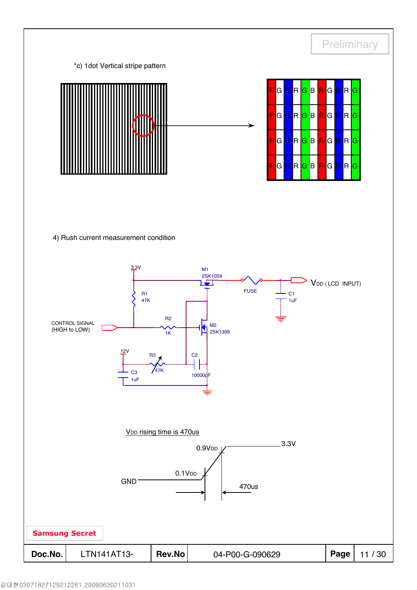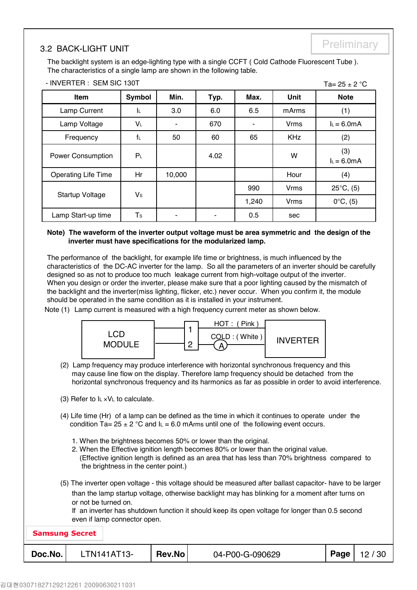## Preliminary 3.2 BACK-LIGHT UNIT

- INVERTER : SEM SIC 130T

 $Ta - 25 + 2 °C$ 

The backlight system is an edge-lighting type with a single CCFT ( Cold Cathode Fluorescent Tube ). The characteristics of a single lamp are shown in the following table.

| Item                       | Symbol         | Min.   | Typ. | Max.  | Unit        | <b>Note</b>         |
|----------------------------|----------------|--------|------|-------|-------------|---------------------|
| Lamp Current               | ΙL.            | 3.0    | 6.0  | 6.5   | mArms       | (1)                 |
| Lamp Voltage               | VL             |        | 670  |       | <b>Vrms</b> | $I_L = 6.0mA$       |
| Frequency                  | f              | 50     | 60   | 65    | <b>KHz</b>  | (2)                 |
| <b>Power Consumption</b>   | P <sub>L</sub> |        | 4.02 |       | W           | (3)<br>$L = 6.0mA$  |
| <b>Operating Life Time</b> | Hr             | 10,000 |      |       | Hour        | (4)                 |
|                            |                |        |      | 990   | <b>Vrms</b> | $25^{\circ}C$ , (5) |
| Startup Voltage            | $V_{\rm S}$    |        |      | 1,240 | <b>Vrms</b> | $0^{\circ}C, (5)$   |
| Lamp Start-up time         | T <sub>s</sub> |        |      | 0.5   | sec         |                     |

**Note) The waveform of the inverter output voltage must be area symmetric and the design of the inverter must have specifications for the modularized lamp.** 

The performance of the backlight, for example life time or brightness, is much influenced by the characteristics of the DC-AC inverter for the lamp. So all the parameters of an inverter should be carefully designed so as not to produce too much leakage current from high-voltage output of the inverter. When you design or order the inverter, please make sure that a poor lighting caused by the mismatch of the backlight and the inverter(miss lighting, flicker, etc.) never occur. When you confirm it, the module should be operated in the same condition as it is installed in your instrument.

Note (1) Lamp current is measured with a high frequency current meter as shown below.



- (2) Lamp frequency may produce interference with horizontal synchronous frequency and this may cause line flow on the display. Therefore lamp frequency should be detached from the horizontal synchronous frequency and its harmonics as far as possible in order to avoid interference.
- (3) Refer to  $I_L \times V_L$  to calculate.
- (4) Life time (Hr) of a lamp can be defined as the time in which it continues to operate under the condition Ta=  $25 \pm 2$  °C and  $I_L$  = 6.0 mArms until one of the following event occurs.
	- 1. When the brightness becomes 50% or lower than the original.
	- 2. When the Effective ignition length becomes 80% or lower than the original value. (Effective ignition length is defined as an area that has less than 70% brightness compared to the brightness in the center point.)
- (5) The inverter open voltage this voltage should be measured after ballast capacitor- have to be larger than the lamp startup voltage, otherwise backlight may has blinking for a moment after turns on or not be turned on.

If an inverter has shutdown function it should keep its open voltage for longer than 0.5 second even if lamp connector open.

| <b>Samsung Secret</b> |             |        |                 |      |       |
|-----------------------|-------------|--------|-----------------|------|-------|
| Doc.No.               | LTN141AT13- | Rev.No | 04-P00-G-090629 | Page | 12/30 |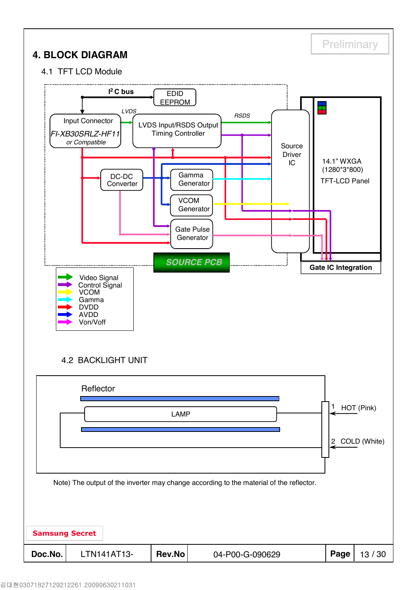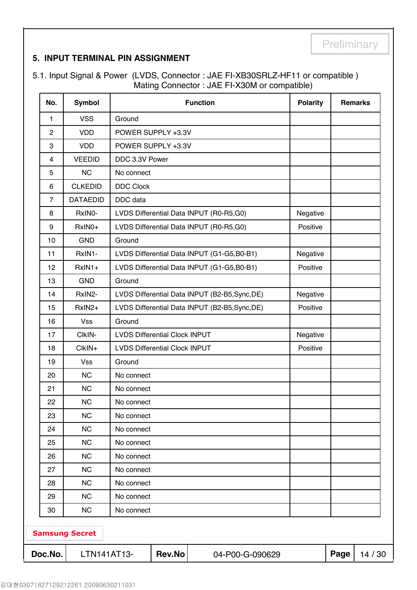## **5. INPUT TERMINAL PIN ASSIGNMENT**

5.1. Input Signal & Power (LVDS, Connector : JAE FI-XB30SRLZ-HF11 or compatible ) Mating Connector : JAE FI-X30M or compatible)

| No.            | <b>Symbol</b>         |                                      |        | <b>Function</b>                                | <b>Polarity</b> |      | <b>Remarks</b> |
|----------------|-----------------------|--------------------------------------|--------|------------------------------------------------|-----------------|------|----------------|
| 1              | <b>VSS</b>            | Ground                               |        |                                                |                 |      |                |
| $\overline{2}$ | <b>VDD</b>            | POWER SUPPLY +3.3V                   |        |                                                |                 |      |                |
| 3              | <b>VDD</b>            | POWER SUPPLY +3.3V                   |        |                                                |                 |      |                |
| 4              | <b>VEEDID</b>         | DDC 3.3V Power                       |        |                                                |                 |      |                |
| 5              | <b>NC</b>             | No connect                           |        |                                                |                 |      |                |
| 6              | <b>CLKEDID</b>        | <b>DDC Clock</b>                     |        |                                                |                 |      |                |
| $\overline{7}$ | <b>DATAEDID</b>       | DDC data                             |        |                                                |                 |      |                |
| 8              | RxINO-                |                                      |        | LVDS Differential Data INPUT (R0-R5,G0)        | Negative        |      |                |
| 9              | RxIN0+                |                                      |        | LVDS Differential Data INPUT (R0-R5,G0)        | Positive        |      |                |
| 10             | <b>GND</b>            | Ground                               |        |                                                |                 |      |                |
| 11             | RxIN1-                |                                      |        | LVDS Differential Data INPUT (G1-G5,B0-B1)     | Negative        |      |                |
| 12             | RxIN1+                |                                      |        | LVDS Differential Data INPUT (G1-G5,B0-B1)     | Positive        |      |                |
| 13             | <b>GND</b>            | Ground                               |        |                                                |                 |      |                |
| 14             | RxIN2-                |                                      |        | LVDS Differential Data INPUT (B2-B5, Sync, DE) | Negative        |      |                |
| 15             | RxIN2+                |                                      |        | LVDS Differential Data INPUT (B2-B5, Sync, DE) | Positive        |      |                |
| 16             | <b>Vss</b>            | Ground                               |        |                                                |                 |      |                |
| 17             | CIkIN-                | <b>LVDS Differential Clock INPUT</b> |        |                                                | Negative        |      |                |
| 18             | ClkIN+                | <b>LVDS Differential Clock INPUT</b> |        |                                                | Positive        |      |                |
| 19             | <b>Vss</b>            | Ground                               |        |                                                |                 |      |                |
| 20             | <b>NC</b>             | No connect                           |        |                                                |                 |      |                |
| 21             | <b>NC</b>             | No connect                           |        |                                                |                 |      |                |
| 22             | <b>NC</b>             | No connect                           |        |                                                |                 |      |                |
| 23             | <b>NC</b>             | No connect                           |        |                                                |                 |      |                |
| 24             | <b>NC</b>             | No connect                           |        |                                                |                 |      |                |
| 25             | <b>NC</b>             | No connect                           |        |                                                |                 |      |                |
| 26             | <b>NC</b>             | No connect                           |        |                                                |                 |      |                |
| 27             | <b>NC</b>             | No connect                           |        |                                                |                 |      |                |
| 28             | <b>NC</b>             | No connect                           |        |                                                |                 |      |                |
| 29             | <b>NC</b>             | No connect                           |        |                                                |                 |      |                |
| 30             | <b>NC</b>             | No connect                           |        |                                                |                 |      |                |
|                | <b>Samsung Secret</b> |                                      |        |                                                |                 |      |                |
| Doc.No.        | LTN141AT13-           |                                      | Rev.No | 04-P00-G-090629                                |                 | Page | 14 / 30        |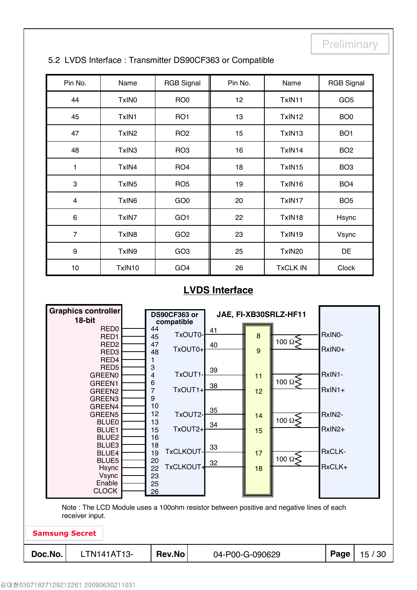| Pin No.                 | Name              | <b>RGB Signal</b> | Pin No. | Name            | <b>RGB Signal</b> |
|-------------------------|-------------------|-------------------|---------|-----------------|-------------------|
| 44                      | TxIN <sub>0</sub> | RO <sub>0</sub>   | 12      | TxIN11          | GO <sub>5</sub>   |
| 45                      | TxIN1             | RO <sub>1</sub>   | 13      | TxIN12          | BO <sub>0</sub>   |
| 47                      | TxIN <sub>2</sub> | RO <sub>2</sub>   | 15      | TxIN13          | BO <sub>1</sub>   |
| 48                      | TxIN3             | RO <sub>3</sub>   | 16      | TxIN14          | BO <sub>2</sub>   |
| 1                       | TxIN4             | RO <sub>4</sub>   | 18      | TxIN15          | BO <sub>3</sub>   |
| 3                       | TxIN <sub>5</sub> | RO <sub>5</sub>   | 19      | TxIN16          | BO <sub>4</sub>   |
| $\overline{\mathbf{4}}$ | TxIN6             | GO <sub>0</sub>   | 20      | TxIN17          | BO <sub>5</sub>   |
| $\,6\,$                 | TxIN7             | GO <sub>1</sub>   | 22      | TxIN18          | Hsync             |
| $\overline{7}$          | TxIN8             | GO <sub>2</sub>   | 23      | TxIN19          | Vsync             |
| 9                       | TxIN9             | GO <sub>3</sub>   | 25      | TxIN20          | DE                |
| 10                      | TxIN10            | GO <sub>4</sub>   | 26      | <b>TxCLK IN</b> | <b>Clock</b>      |

### 5.2 LVDS Interface : Transmitter DS90CF363 or Compatible

## **LVDS Interface**

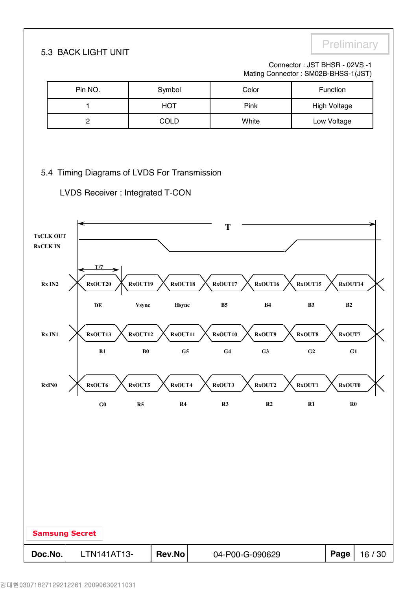# **5.3 BACK LIGHT UNIT**

#### Connector : JST BHSR - 02VS -1 Mating Connector : SM02B-BHSS-1(JST)

|                 |                       | Pin NO.        |                                                                                  | Symbol         |                | Color           |                | Function            |         |
|-----------------|-----------------------|----------------|----------------------------------------------------------------------------------|----------------|----------------|-----------------|----------------|---------------------|---------|
|                 |                       | 1              |                                                                                  | <b>HOT</b>     |                | Pink            |                | <b>High Voltage</b> |         |
|                 |                       | $\mathbf 2$    |                                                                                  | COLD           |                | White           |                | Low Voltage         |         |
|                 | <b>TxCLK OUT</b>      |                | 5.4 Timing Diagrams of LVDS For Transmission<br>LVDS Receiver : Integrated T-CON |                | T              |                 |                |                     |         |
| <b>RxCLK IN</b> |                       |                |                                                                                  |                |                |                 |                |                     |         |
|                 | Rx IN2                | T/7<br>RxOUT20 | RxOUT19                                                                          | RxOUT18        | RxOUT17        | RxOUT16         | RxOUT15        | RxOUT14             |         |
|                 |                       | DE             | <b>Vsync</b>                                                                     | Hsync          | B <sub>5</sub> | B <sub>4</sub>  | B3             | $\mathbf{B2}$       |         |
|                 | Rx IN1                | RxOUT13        | RxOUT12                                                                          | RxOUT11        | RxOUT10        | RxOUT9          | RxOUT8         | RxOUT7              |         |
|                 |                       | B1             | $\bf{B0}$                                                                        | G <sub>5</sub> | G <sub>4</sub> | G3              | G <sub>2</sub> | G1                  |         |
|                 | RxIN0                 | RxOUT6         | RxOUT5                                                                           | RxOUT4         | RxOUT3         | RxOUT2          | RxOUT1         | <b>RxOUT0</b>       |         |
|                 |                       | ${\bf G0}$     | R5                                                                               | R4             | R3             | R2              | $\mathbf{R}1$  | $\mathbf{R}0$       |         |
|                 |                       |                |                                                                                  |                |                |                 |                |                     |         |
|                 | <b>Samsung Secret</b> |                |                                                                                  |                |                |                 |                |                     |         |
| Doc.No.         |                       | LTN141AT13-    |                                                                                  | Rev.No         |                | 04-P00-G-090629 |                | Page                | 16 / 30 |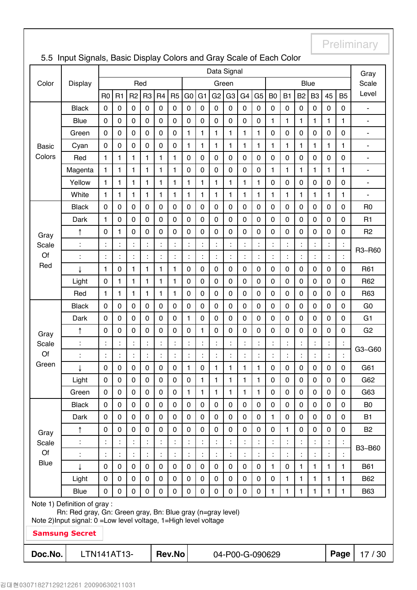|                   |                                                                                            |                |    |                |                |                |                |                |                | Data Signal    |                |                |                |                 |                |                |                |                |                | Gray                     |
|-------------------|--------------------------------------------------------------------------------------------|----------------|----|----------------|----------------|----------------|----------------|----------------|----------------|----------------|----------------|----------------|----------------|-----------------|----------------|----------------|----------------|----------------|----------------|--------------------------|
| Color             | Display                                                                                    |                |    |                | Red            |                |                |                |                |                | Green          |                |                |                 |                |                | <b>Blue</b>    |                |                | Scale                    |
|                   |                                                                                            | R <sub>0</sub> | R1 | R <sub>2</sub> | R <sub>3</sub> | R <sub>4</sub> | R <sub>5</sub> | G <sub>0</sub> | G <sub>1</sub> | G <sub>2</sub> | G <sub>3</sub> | G <sub>4</sub> | G <sub>5</sub> | B <sub>0</sub>  | <b>B1</b>      | B <sub>2</sub> | B <sub>3</sub> | 45             | <b>B5</b>      | Level                    |
|                   | <b>Black</b>                                                                               | $\mathbf 0$    | 0  | $\pmb{0}$      | 0              | $\pmb{0}$      | $\mathbf 0$    | $\mathbf 0$    | $\pmb{0}$      | $\mathbf 0$    | $\pmb{0}$      | 0              | 0              | $\pmb{0}$       | $\pmb{0}$      | $\mathbf 0$    | 0              | $\mathbf 0$    | 0              | ÷,                       |
|                   | <b>Blue</b>                                                                                | $\mathbf 0$    | 0  | $\mathbf 0$    | 0              | 0              | $\mathbf 0$    | 0              | $\mathbf 0$    | $\mathbf 0$    | $\mathbf 0$    | 0              | $\pmb{0}$      | 1               | 1              | 1              | 1              | $\mathbf{1}$   | $\mathbf{1}$   | $\overline{\phantom{a}}$ |
|                   | Green                                                                                      | $\mathbf 0$    | 0  | $\mathbf 0$    | $\mathbf 0$    | $\mathbf 0$    | $\mathbf 0$    | 1              | $\mathbf{1}$   | 1              | $\mathbf{1}$   | $\mathbf{1}$   | $\mathbf{1}$   | $\mathbf 0$     | $\mathbf 0$    | $\mathbf 0$    | $\mathbf 0$    | $\mathbf 0$    | $\overline{0}$ | $\blacksquare$           |
| <b>Basic</b>      | Cyan                                                                                       | $\mathbf 0$    | 0  | $\mathbf 0$    | $\mathbf 0$    | 0              | $\mathbf 0$    | 1              | $\mathbf{1}$   | 1              | $\mathbf{1}$   | $\mathbf{1}$   | 1              | $\mathbf{1}$    | 1              | 1              | 1              | $\mathbf{1}$   | $\mathbf{1}$   | $\overline{\phantom{a}}$ |
| Colors            | Red                                                                                        | $\mathbf{1}$   | 1  | $\mathbf{1}$   | 1              | 1              | $\mathbf{1}$   | $\mathbf 0$    | $\mathbf 0$    | $\mathbf 0$    | 0              | 0              | 0              | $\mathbf 0$     | $\mathbf 0$    | $\mathbf 0$    | $\mathbf 0$    | $\mathbf 0$    | $\mathbf 0$    | ä,                       |
|                   | Magenta                                                                                    | $\mathbf{1}$   | 1  | $\mathbf{1}$   | 1              | 1              | 1              | $\mathbf 0$    | $\mathbf 0$    | $\mathbf 0$    | 0              | 0              | 0              | $\mathbf{1}$    | 1              | 1              | 1              | 1              | 1              | $\overline{\phantom{a}}$ |
|                   | Yellow                                                                                     | 1              | 1  | 1              | 1              | 1              | 1              | 1              | 1              | 1              | 1              | 1              | 1              | $\mathbf 0$     | $\pmb{0}$      | $\mathbf 0$    | $\mathbf 0$    | $\mathbf 0$    | $\mathbf 0$    | $\blacksquare$           |
|                   | White                                                                                      | 1              | 1  | 1              | 1              | 1              | 1              | 1              | $\mathbf{1}$   | 1              | $\mathbf{1}$   | 1              | 1              | 1               | 1              | 1              | 1              | 1              | $\mathbf{1}$   | $\overline{\phantom{a}}$ |
|                   | <b>Black</b>                                                                               | $\mathbf 0$    | 0  | 0              | 0              | $\pmb{0}$      | $\mathbf 0$    | 0              | 0              | 0              | 0              | 0              | 0              | 0               | $\pmb{0}$      | $\mathbf 0$    | 0              | $\mathbf 0$    | $\mathbf 0$    | R <sub>0</sub>           |
|                   | Dark                                                                                       | 1              | 0  | 0              | 0              | 0              | $\mathbf 0$    | 0              | 0              | 0              | $\mathbf 0$    | 0              | 0              | $\mathbf 0$     | 0              | $\mathbf 0$    | 0              | $\mathbf 0$    | $\mathbf 0$    | R1                       |
| Gray              | ↑                                                                                          | 0              | 1  | $\overline{0}$ | 0              | 0              | $\mathbf 0$    | 0              | 0              | 0              | $\mathbf 0$    | 0              | 0              | 0               | 0              | $\mathbf 0$    | 0              | $\mathbf 0$    | $\mathbf 0$    | R <sub>2</sub>           |
| Scale             |                                                                                            | $\ddot{\cdot}$ | Ì. | ÷,             |                |                | ċ              |                | ċ              | Ì.             | t              |                |                |                 |                |                |                | $\ddot{\cdot}$ |                | R3~R60                   |
| Of                | ÷                                                                                          | $\ddot{\cdot}$ | Ì. | ÷              | t              | $\ddot{\cdot}$ | t              | t              | $\ddot{\cdot}$ | ÷.             | t              | ÷              | t              | t               |                | t              | t              | $\ddot{\cdot}$ | $\ddot{\cdot}$ |                          |
| Red               |                                                                                            | 1              | 0  | 1              | 1              | 1              | 1              | 0              | $\mathbf 0$    | $\mathbf 0$    | 0              | 0              | 0              | $\mathbf 0$     | $\mathbf 0$    | $\mathbf 0$    | 0              | $\mathbf 0$    | $\mathbf 0$    | R61                      |
|                   | Light                                                                                      | $\mathbf 0$    | 1  | $\mathbf{1}$   | 1              | 1              | 1              | $\mathbf 0$    | $\mathbf 0$    | $\mathbf 0$    | $\mathbf 0$    | 0              | 0              | $\mathbf 0$     | $\mathbf 0$    | $\mathbf 0$    | 0              | $\mathbf 0$    | $\overline{0}$ | R62                      |
|                   | Red                                                                                        | 1              | 1  | 1              | 1              | 1              | 1              | 0              | $\mathbf 0$    | $\mathbf 0$    | 0              | 0              | 0              | $\mathbf 0$     | $\pmb{0}$      | $\mathbf 0$    | 0              | $\mathbf 0$    | $\mathbf 0$    | R63                      |
|                   | <b>Black</b>                                                                               | $\mathbf 0$    | 0  | $\mathbf 0$    | 0              | $\pmb{0}$      | $\mathbf 0$    | 0              | $\mathbf 0$    | $\mathbf 0$    | $\mathbf 0$    | 0              | 0              | $\mathsf 0$     | $\pmb{0}$      | $\mathbf 0$    | $\mathbf 0$    | $\mathbf 0$    | $\mathbf 0$    | G <sub>0</sub>           |
|                   | Dark                                                                                       | $\mathbf 0$    | 0  | $\mathbf 0$    | $\pmb{0}$      | $\pmb{0}$      | $\mathbf 0$    | 1              | $\mathbf 0$    | $\mathbf 0$    | $\mathbf 0$    | 0              | $\pmb{0}$      | $\mathbf 0$     | $\pmb{0}$      | $\mathbf 0$    | 0              | $\mathbf 0$    | $\mathbf 0$    | G <sub>1</sub>           |
| Gray              | ↑                                                                                          | $\mathbf 0$    | 0  | $\mathbf 0$    | $\mathbf 0$    | 0              | $\mathbf 0$    | 0              | $\mathbf{1}$   | 0              | $\mathbf 0$    | 0              | 0              | $\mathbf 0$     | $\mathbf 0$    | $\mathbf 0$    | $\mathbf 0$    | $\mathbf 0$    | $\overline{0}$ | G <sub>2</sub>           |
| Scale             | $\ddot{\cdot}$                                                                             | ÷              | Ì. | t              | Ì.             | $\ddot{\cdot}$ | ċ              | t              | t              | Ì.             | t              | ÷              | İ              | t               | Ì.             | İ              | İ              | $\ddot{\cdot}$ | $\ddot{\cdot}$ | G3~G60                   |
| Of                | $\ddot{\cdot}$                                                                             | t              | ÷. | ÷,             | Ì.             | Ì.             | $\ddot{\cdot}$ | Ì.             | ÷,             | ÷.             | ÷              | t              | Ì.             | ÷               | $\ddot{\cdot}$ | Ì.             | Ì.             | $\ddot{\cdot}$ | ÷              |                          |
| Green             | ↓                                                                                          | $\mathbf 0$    | 0  | 0              | 0              | $\mathsf 0$    | $\mathbf 0$    | 1              | $\pmb{0}$      | 1              | 1              | 1              | 1              | $\pmb{0}$       | $\pmb{0}$      | $\pmb{0}$      | 0              | $\mathbf 0$    | 0              | G61                      |
|                   | Light                                                                                      | $\mathbf 0$    | 0  | 0              | $\pmb{0}$      | $\pmb{0}$      | $\mathbf 0$    | 0              | 1              | $\mathbf{1}$   | 1              | 1              | 1              | $\mathbf 0$     | $\pmb{0}$      | $\mathbf 0$    | $\mathbf 0$    | $\mathbf 0$    | 0              | G62                      |
|                   | Green                                                                                      | $\mathbf 0$    | 0  | 0              | 0              | 0              | $\mathbf 0$    | 1              | $\mathbf{1}$   | 1              | $\mathbf{1}$   | $\mathbf{1}$   | 1              | $\mathbf 0$     | $\mathbf 0$    | $\mathbf 0$    | 0              | $\mathbf 0$    | $\mathbf 0$    | G63                      |
|                   | <b>Black</b>                                                                               | $\mathbf 0$    | 0  | 0              | 0              | $\pmb{0}$      | $\mathbf 0$    | 0              | $\pmb{0}$      | $\mathbf 0$    | 0              | 0              | 0              | $\mathbf 0$     | $\pmb{0}$      | $\mathbf 0$    | 0              | $\mathbf 0$    | 0              | B <sub>0</sub>           |
|                   | Dark                                                                                       | $\pmb{0}$      | 0  | 0              | 0              | 0              | $\pmb{0}$      | 0              | $\pmb{0}$      | $\mathbf 0$    | 0              | 0              | 0              | $\mathbf{1}$    | $\pmb{0}$      | $\pmb{0}$      | 0              | $\pmb{0}$      | $\mathbf 0$    | <b>B1</b>                |
| Gray              | ↑                                                                                          | $\mathbf 0$    | 0  | $\overline{0}$ | 0              | 0              | $\mathbf 0$    | 0              | 0              | $\mathbf 0$    | $\mathbf 0$    | 0              | 0              | $\mathbf 0$     | 1              | $\mathbf 0$    | 0              | $\mathbf 0$    | $\mathbf 0$    | <b>B2</b>                |
| Scale             |                                                                                            | $\ddot{\cdot}$ |    | ÷,             |                |                |                |                |                |                | t              |                |                |                 |                |                |                |                |                | B3~B60                   |
| Of<br><b>Blue</b> |                                                                                            | $\ddot{\cdot}$ | Ì. | ÷              |                | t              |                |                | $\ddot{\cdot}$ | ÷.             | t              | t              |                |                 |                | Ì.             | t              | $\ddot{\cdot}$ |                |                          |
|                   |                                                                                            | $\mathbf 0$    | 0  | 0              | $\mathbf 0$    | 0              | $\mathbf 0$    | 0              | $\mathbf 0$    | $\mathbf 0$    | 0              | 0              | 0              | $\mathbf{1}$    | 0              | $\mathbf{1}$   | 1              | 1              | 1              | <b>B61</b>               |
|                   | Light                                                                                      | $\mathbf 0$    | 0  | 0              | $\mathbf 0$    | $\mathbf 0$    | $\mathbf 0$    | $\mathbf 0$    | $\mathbf 0$    | $\mathbf 0$    | 0              | 0              | 0              | $\mathbf 0$     | 1              | 1              | 1              | $\mathbf{1}$   | $\mathbf{1}$   | <b>B62</b>               |
|                   | Blue                                                                                       | $\mathbf 0$    | 0  | 0              | 0              | 0              | $\mathbf 0$    | 0              | $\pmb{0}$      | 0              | $\pmb{0}$      | 0              | 0              | $\mathbf{1}$    | 1              | 1              | 1              | $\mathbf{1}$   | $\mathbf{1}$   | <b>B63</b>               |
|                   | Note 1) Definition of gray :<br>Rn: Red gray, Gn: Green gray, Bn: Blue gray (n=gray level) |                |    |                |                |                |                |                |                |                |                |                |                |                 |                |                |                |                |                |                          |
|                   | Note 2) Input signal: 0 = Low level voltage, 1 = High level voltage                        |                |    |                |                |                |                |                |                |                |                |                |                |                 |                |                |                |                |                |                          |
|                   | <b>Samsung Secret</b>                                                                      |                |    |                |                |                |                |                |                |                |                |                |                |                 |                |                |                |                |                |                          |
| Doc.No.           | LTN141AT13-                                                                                |                |    |                |                |                | <b>Rev.No</b>  |                |                |                |                |                |                | 04-P00-G-090629 |                |                |                |                | Page           | 17/30                    |
|                   |                                                                                            |                |    |                |                |                |                |                |                |                |                |                |                |                 |                |                |                |                |                |                          |

## 5.5 Input Signals, Basic Display Colors and Gray Scale of Each Color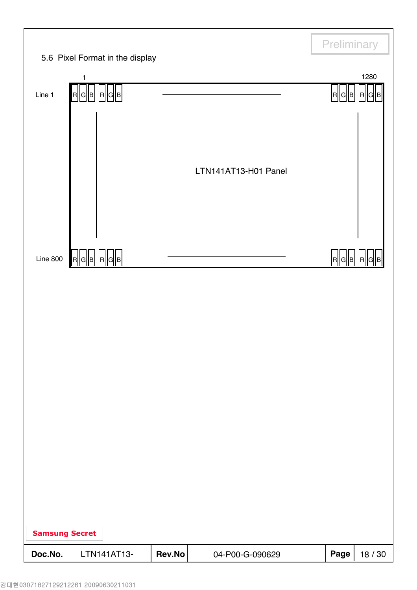|                       |                                                                         |        |                      | Preliminary |            |
|-----------------------|-------------------------------------------------------------------------|--------|----------------------|-------------|------------|
|                       | 5.6 Pixel Format in the display<br>1                                    |        |                      |             | 1280       |
| Line 1                | $\mathsf{R}[\mathsf{G}[\mathsf{B}]\, \mathsf{R}[\mathsf{G}]\mathsf{B}]$ |        |                      | R  G  B     | <b>RIG</b> |
|                       |                                                                         |        |                      |             |            |
|                       |                                                                         |        |                      |             |            |
|                       |                                                                         |        | LTN141AT13-H01 Panel |             |            |
|                       |                                                                         |        |                      |             |            |
|                       |                                                                         |        |                      |             |            |
|                       |                                                                         |        |                      |             |            |
| Line $800$            | R  G  B   R  G  B                                                       |        |                      | R  G  B     | IR.        |
|                       |                                                                         |        |                      |             |            |
|                       |                                                                         |        |                      |             |            |
|                       |                                                                         |        |                      |             |            |
|                       |                                                                         |        |                      |             |            |
|                       |                                                                         |        |                      |             |            |
|                       |                                                                         |        |                      |             |            |
|                       |                                                                         |        |                      |             |            |
|                       |                                                                         |        |                      |             |            |
|                       |                                                                         |        |                      |             |            |
|                       |                                                                         |        |                      |             |            |
|                       |                                                                         |        |                      |             |            |
| <b>Samsung Secret</b> |                                                                         |        |                      |             |            |
| Doc.No.               | LTN141AT13-                                                             | Rev.No | 04-P00-G-090629      | Page        | 18 / 30    |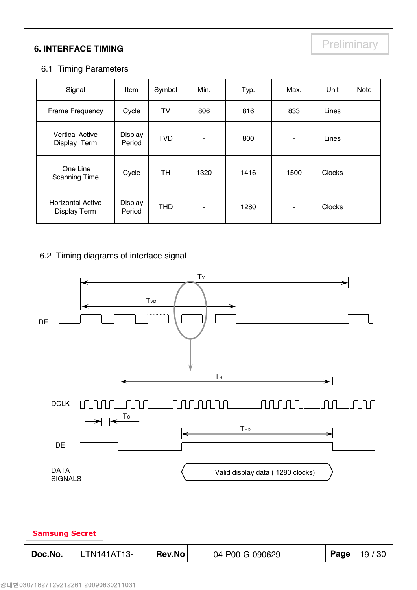# **6. INTERFACE TIMING**

### 6.1 Timing Parameters

| Signal                                          | Item              | Symbol     | Min.           | Typ. | Max.           | Unit          | Note |
|-------------------------------------------------|-------------------|------------|----------------|------|----------------|---------------|------|
| Frame Frequency                                 | Cycle             | TV         | 806            | 816  | 833            | Lines         |      |
| <b>Vertical Active</b><br>Display Term          | Display<br>Period | <b>TVD</b> | ٠              | 800  | ٠              | Lines         |      |
| One Line<br><b>Scanning Time</b>                | Cycle             | TH         | 1320           | 1416 | 1500           | <b>Clocks</b> |      |
| <b>Horizontal Active</b><br><b>Display Term</b> | Display<br>Period | <b>THD</b> | $\blacksquare$ | 1280 | $\blacksquare$ | <b>Clocks</b> |      |

## 6.2 Timing diagrams of interface signal

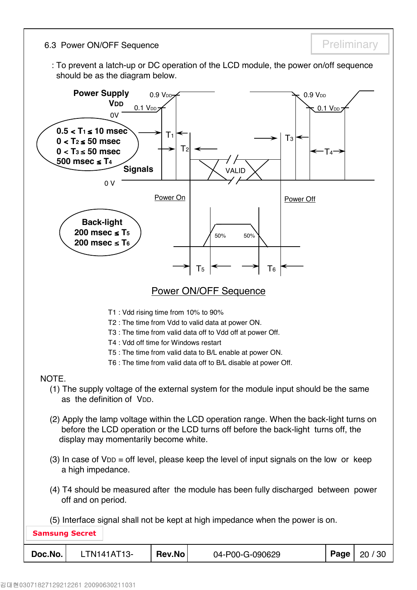6.3 Power ON/OFF Sequence **Preliminary** Preliminary

: To prevent a latch-up or DC operation of the LCD module, the power on/off sequence should be as the diagram below.

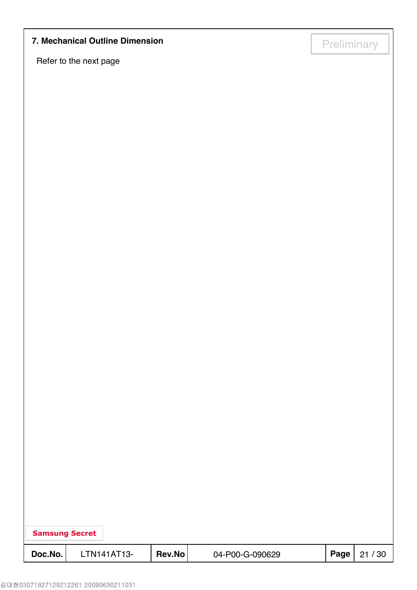# **7. Mechanical Outline Dimension**<br> **Preliminary**

Refer to the next page

| <b>Samsung Secret</b> |             |        |                 |      |       |
|-----------------------|-------------|--------|-----------------|------|-------|
| Doc.No.               | LTN141AT13- | Rev.No | 04-P00-G-090629 | Page | 21/30 |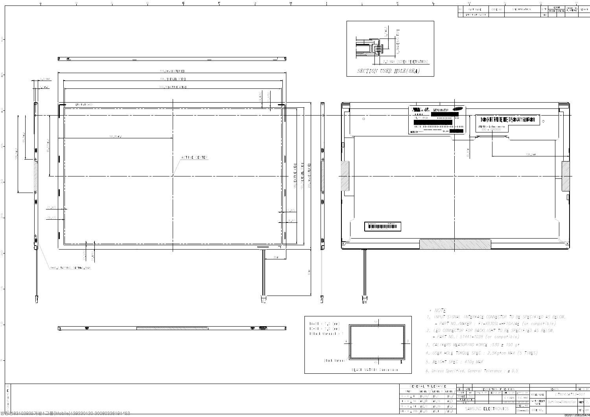

|                | м              |         |               |                 |                    |                 |                               |        |
|----------------|----------------|---------|---------------|-----------------|--------------------|-----------------|-------------------------------|--------|
| N <sub>O</sub> | PART NAME      | CODE NO | SPECIFICATION | $Q^{\prime}$ TY | WE I GHT<br>FINISH | <b>MATERIAL</b> | UNFOLDED DIM.<br>OF, MATERIAL | REMARK |
|                | LTN141AT13-001 |         |               | 1EA             |                    |                 |                               |        |

|                 | REV   | DATE          |          |                     | DESCRIPTION OF REVISION |                 |             | REASON                         | CHG'D BY |     |
|-----------------|-------|---------------|----------|---------------------|-------------------------|-----------------|-------------|--------------------------------|----------|-----|
| <b>EVEL</b>     | UNIT  | mm            | DRA'N BY | DES'D BY            | CHK'D BY                | APP'D BY        |             | LTN141AT13-001                 |          |     |
| ±0.2            | SCALE | 71            |          |                     | C. Y. BANG              | D.C.YANG        | MODEL NAME  |                                |          |     |
| ±0/3            |       | TOLERANCE     |          |                     |                         |                 | PART/SHEET  |                                |          |     |
|                 |       | <i>LEVEL2</i> |          |                     | 08.03.26                | 08.03.26        | <b>NAME</b> | <i>Outline-Dimension</i> SHEET |          |     |
| #0.5            |       |               |          |                     |                         | SPEC. NO        |             |                                |          |     |
| ${'}_{\pm 0.8}$ |       |               |          | SAMSUNG FLECTRONICS |                         | $DIS******-000$ | CODE NO.    |                                | ' VER    | 000 |
|                 |       |               |          |                     |                         |                 |             |                                |          |     |
|                 |       |               |          |                     |                         |                 |             | 002011206526474                |          |     |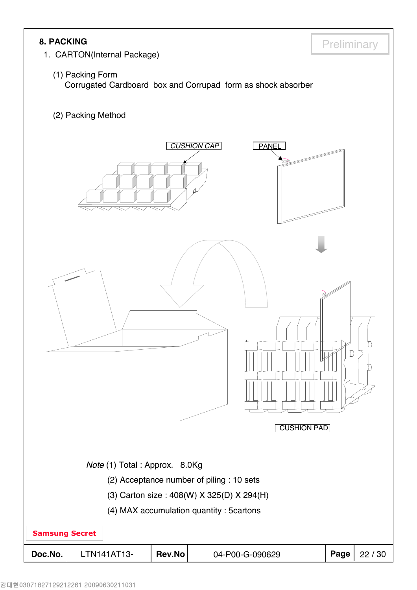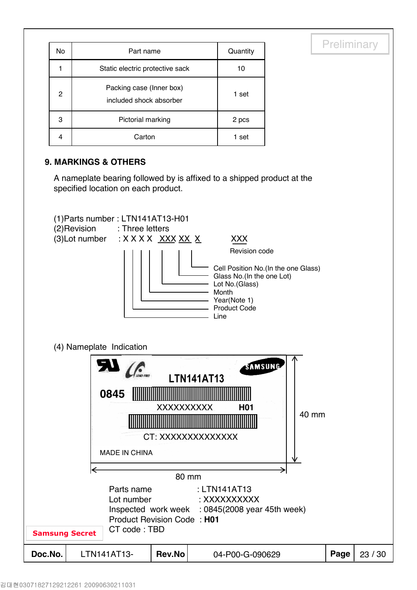| No | Part name                                           | Quantity |
|----|-----------------------------------------------------|----------|
|    | Static electric protective sack                     | 10       |
| 2  | Packing case (Inner box)<br>included shock absorber | 1 set    |
| 3  | Pictorial marking                                   | 2 pcs    |
| 4  | Carton                                              | 1 set    |

## **9. MARKINGS & OTHERS**

A nameplate bearing followed by is affixed to a shipped product at the specified location on each product.

**Preliminary** 

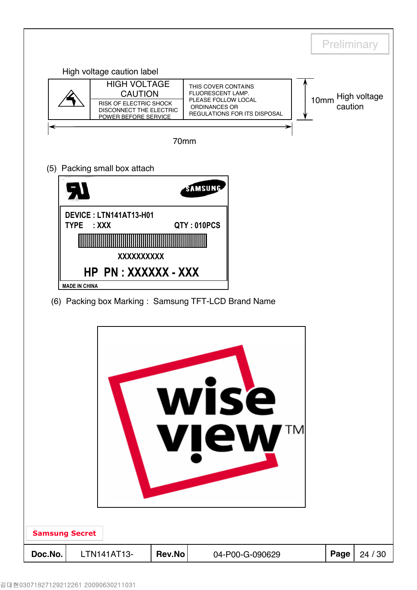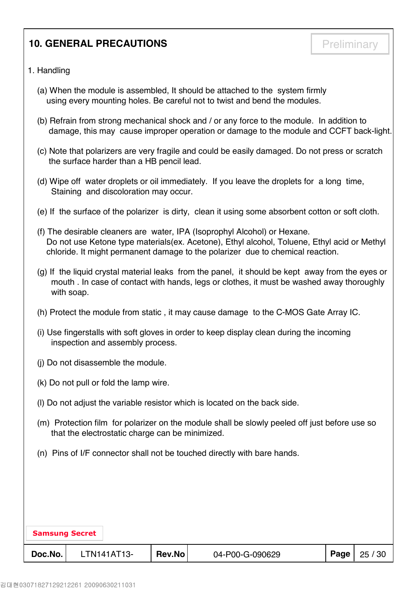## **10. GENERAL PRECAUTIONS Preliminary**

### 1. Handling

- (a) When the module is assembled, It should be attached to the system firmly using every mounting holes. Be careful not to twist and bend the modules.
- (b) Refrain from strong mechanical shock and / or any force to the module. In addition to damage, this may cause improper operation or damage to the module and CCFT back-light.
- (c) Note that polarizers are very fragile and could be easily damaged. Do not press or scratch the surface harder than a HB pencil lead.
- (d) Wipe off water droplets or oil immediately. If you leave the droplets for a long time, Staining and discoloration may occur.
- (e) If the surface of the polarizer is dirty, clean it using some absorbent cotton or soft cloth.
- (f) The desirable cleaners are water, IPA (Isoprophyl Alcohol) or Hexane. Do not use Ketone type materials(ex. Acetone), Ethyl alcohol, Toluene, Ethyl acid or Methyl chloride. It might permanent damage to the polarizer due to chemical reaction.
- (g) If the liquid crystal material leaks from the panel, it should be kept away from the eyes or mouth . In case of contact with hands, legs or clothes, it must be washed away thoroughly with soap.
- (h) Protect the module from static , it may cause damage to the C-MOS Gate Array IC.
- (i) Use fingerstalls with soft gloves in order to keep display clean during the incoming inspection and assembly process.
- (j) Do not disassemble the module.
- (k) Do not pull or fold the lamp wire.
- (l) Do not adjust the variable resistor which is located on the back side.
- (m) Protection film for polarizer on the module shall be slowly peeled off just before use so that the electrostatic charge can be minimized.
- (n) Pins of I/F connector shall not be touched directly with bare hands.

| <b>Samsung Secret</b> |             |        |                 |          |       |
|-----------------------|-------------|--------|-----------------|----------|-------|
| Doc.No.               | LTN141AT13- | Rev.No | 04-P00-G-090629 | Page $ $ | 25/30 |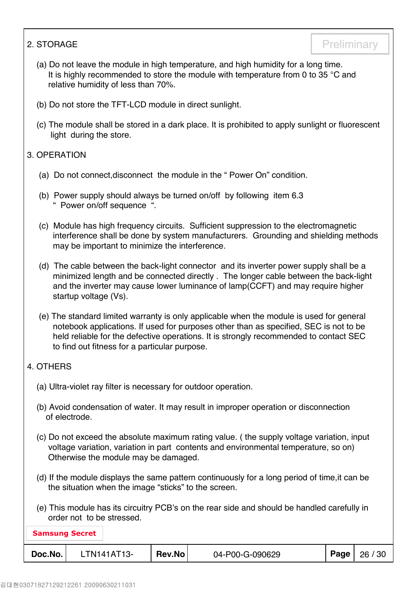- (a) Do not leave the module in high temperature, and high humidity for a long time. It is highly recommended to store the module with temperature from 0 to 35 °C and relative humidity of less than 70%.
- (b) Do not store the TFT-LCD module in direct sunlight.
- (c) The module shall be stored in a dark place. It is prohibited to apply sunlight or fluorescent light during the store.

## 3. OPERATION

- (a) Do not connect,disconnect the module in the " Power On" condition.
- (b) Power supply should always be turned on/off by following item 6.3 " Power on/off sequence ".
- (c) Module has high frequency circuits. Sufficient suppression to the electromagnetic interference shall be done by system manufacturers. Grounding and shielding methods may be important to minimize the interference.
- (d) The cable between the back-light connector and its inverter power supply shall be a minimized length and be connected directly . The longer cable between the back-light and the inverter may cause lower luminance of lamp(CCFT) and may require higher startup voltage (Vs).
- (e) The standard limited warranty is only applicable when the module is used for general notebook applications. If used for purposes other than as specified, SEC is not to be held reliable for the defective operations. It is strongly recommended to contact SEC to find out fitness for a particular purpose.

## 4. OTHERS

- (a) Ultra-violet ray filter is necessary for outdoor operation.
- (b) Avoid condensation of water. It may result in improper operation or disconnection of electrode.
- (c) Do not exceed the absolute maximum rating value. ( the supply voltage variation, input voltage variation, variation in part contents and environmental temperature, so on) Otherwise the module may be damaged.
- (d) If the module displays the same pattern continuously for a long period of time,it can be the situation when the image "sticks" to the screen.
- (e) This module has its circuitry PCB's on the rear side and should be handled carefully in order not to be stressed.

| <b>Samsung Secret</b> |             |        |                 |      |       |  |  |  |  |  |
|-----------------------|-------------|--------|-----------------|------|-------|--|--|--|--|--|
| Doc.No.               | LTN141AT13- | Rev.No | 04-P00-G-090629 | Page | 26/30 |  |  |  |  |  |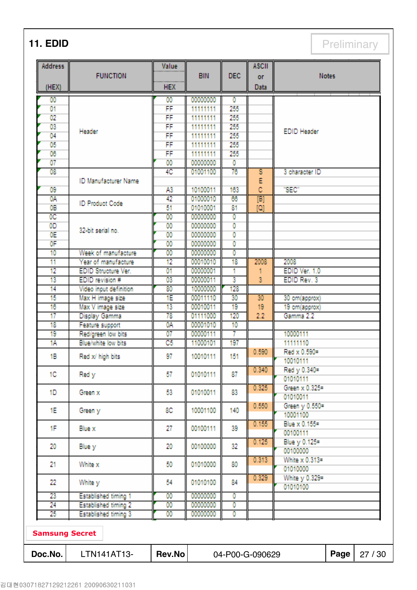**11. EDID** Preliminary

| <b>Address</b>        | <b>FUNCTION</b>             | Value<br>.      | <b>BIN</b>                         | <b>DEC</b> | <b>ASCII</b><br><b>OF</b> | <b>Notes</b>       |  |  |
|-----------------------|-----------------------------|-----------------|------------------------------------|------------|---------------------------|--------------------|--|--|
| (HEX)                 |                             | <b>HEX</b>      |                                    |            | <b>Data</b>               |                    |  |  |
| 00                    |                             | $^{00}$         | 00000000                           | ٥          |                           |                    |  |  |
| 01                    |                             | FF              | 11111111                           | 255        |                           |                    |  |  |
| $\overline{02}$       |                             | FF              | 11111111                           | 255        |                           |                    |  |  |
| 03                    | Header                      | FF              | 11111111                           | 255        |                           | <b>EDID Header</b> |  |  |
| 04                    |                             | FF              | 11111111                           | 255        |                           |                    |  |  |
| 05                    |                             | FF              | 11111111                           | 255        |                           |                    |  |  |
| 06                    |                             | FF              | 11111111                           | 255        |                           |                    |  |  |
| $\overline{07}$       |                             | 00              | 00000000                           | o          |                           |                    |  |  |
| 08                    |                             | 4C              | 01001100                           | 76         | s                         | 3 character ID     |  |  |
|                       | ID Manufacturer Name        |                 |                                    |            | E                         |                    |  |  |
| 09                    |                             | A3              | 10100011                           | 163        | ċ                         | "SEC"              |  |  |
| 0A                    | <b>ID Product Code</b>      | 42              | 01000010                           | 66         | $\overline{[B]}$          |                    |  |  |
| 0B                    |                             | 51              | 01010001                           | 81         | $\overline{[0]}$          |                    |  |  |
| $\overline{0C}$       |                             | $\overline{00}$ | 00000000                           | Ō          |                           |                    |  |  |
| 0D                    | 32-bit serial no.           | $\overline{00}$ | 00000000                           | ō          |                           |                    |  |  |
| 0E                    |                             | $\overline{00}$ | 00000000                           | 0          |                           |                    |  |  |
| 0F                    |                             | $\overline{00}$ | 00000000                           | ō          |                           |                    |  |  |
| 10                    | Week of manufacture         | 00              | 00000000                           | Ō          |                           |                    |  |  |
| 11                    | Year of manufacture         | 12              | 00010010                           | 18         | 2008                      | 2008               |  |  |
| 12                    | <b>EDID Structure Ver.</b>  | 01              | 00000001                           | ۰          | 1                         | EDID Ver. 1.0      |  |  |
| 13                    | EDID revision #             | 03              | 00000011                           | 3          | 3                         | EDID Rev. 3        |  |  |
| 14                    | Video input definition      | 80              | 10000000                           | 128        |                           |                    |  |  |
| 15                    | Max H image size            | ſΕ              | 00011110                           | 30         | 30                        | 30 cm(approx)      |  |  |
| 16                    | Max V image size            | 13              | 00010011                           | 19         | 19                        | 19 cm(approx)      |  |  |
| 17                    | Display Gamma               | 78              | 01111000                           | 120        | 2.2                       | Gamma 2.2          |  |  |
| 18                    | Feature support             | 0A              | 00001010                           | 10         |                           |                    |  |  |
| 19                    | Red/green low bits          | 07              | 00000111                           | 7          |                           | 10000111           |  |  |
| 1Α                    | Blue/white low bits         | C5              | 11000101                           | 197        |                           | 11111110           |  |  |
| 18                    | Red x/ high bits            | 97              | 10010111                           | 151        | 0.590                     | Red x 0.590-       |  |  |
|                       |                             |                 |                                    |            |                           | 10010111           |  |  |
| 1C                    | Red y                       | 57              | 01010111                           | 87         | 0.340                     | Red y 0.340=       |  |  |
|                       |                             |                 |                                    |            |                           | 01010111           |  |  |
| 1D                    | Green x                     | 53              | 01010011                           | 83         | 0.325                     | Green x 0.325=     |  |  |
|                       |                             |                 |                                    |            |                           | 01010011           |  |  |
| 1E                    | Green y                     | 8C              | 10001100                           | 140        | 0.550                     | Green y 0.550=     |  |  |
|                       |                             |                 |                                    |            |                           | 10001100           |  |  |
| 1F                    | <b>Blue x</b>               | 27              | 00100111                           | 39         | 0.155                     | Blue x 0.155=      |  |  |
|                       |                             |                 |                                    |            |                           | 00100111           |  |  |
| 20                    | Blue y                      | 20              | 00100000                           | 32         | 0.125                     | Blue y 0.125-      |  |  |
|                       |                             |                 |                                    |            |                           | 00100000           |  |  |
| 21                    | White x                     | 50              | 01010000                           | 80         | 0.313                     | White x 0.313=     |  |  |
|                       |                             |                 |                                    |            |                           | 01010000           |  |  |
| 22                    | White y                     | 54              | 01010100                           | 84         | 0.329                     | White y 0.329      |  |  |
|                       |                             |                 |                                    |            |                           | 01010100           |  |  |
| 23                    | <b>Established timing 1</b> | 00              | 00000000                           | Ō          |                           |                    |  |  |
| 24                    | <b>Established timing 2</b> | 00              | 00000000                           | 0          |                           |                    |  |  |
| 25                    | <b>Established timing 3</b> | $^{00}$         | 00000000                           | 0          |                           |                    |  |  |
| <b>Samsung Secret</b> |                             |                 |                                    |            |                           |                    |  |  |
| Doc.No.               | LTN141AT13-                 | <b>Rev.No</b>   | Page<br>27 / 30<br>04-P00-G-090629 |            |                           |                    |  |  |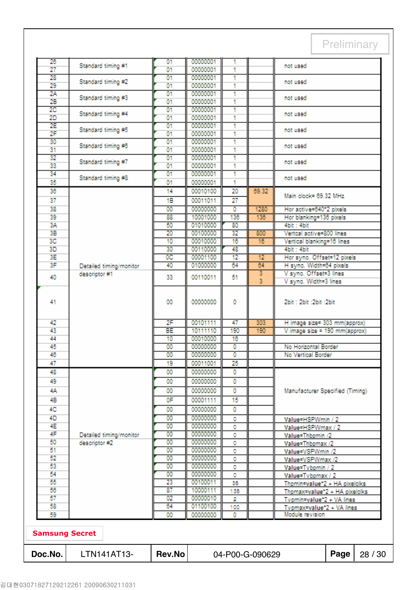| Doc.No.               | LTN141AT13-                              | <b>Rev.No</b>         |                      |                | 04-P00-G-090629      |                                                               | Page                                                                                        | 28 / 30 |  |
|-----------------------|------------------------------------------|-----------------------|----------------------|----------------|----------------------|---------------------------------------------------------------|---------------------------------------------------------------------------------------------|---------|--|
| <b>Samsung Secret</b> |                                          |                       |                      |                |                      |                                                               |                                                                                             |         |  |
| 59                    |                                          | 00                    | 00000000             | ٥              |                      | Module revision                                               |                                                                                             |         |  |
| 58                    |                                          | 64                    | 01100100             | 100            |                      | Typmax=value*2 + VA lines                                     |                                                                                             |         |  |
| 57                    |                                          | 02                    | 00000010             | 2              |                      |                                                               | Thpmin=value*2 + HA pixelolks<br>Thpmax=value*2 + HA pixelclks<br>Typmin=value*2 + VA lines |         |  |
| 56                    |                                          | 87                    | 10000111             | 135            |                      |                                                               |                                                                                             |         |  |
| 55                    |                                          | 23                    | 00100011             | ۰<br>35        |                      | Value=Tvbpmax / 2                                             |                                                                                             |         |  |
| 53<br>54              |                                          | $^{00}$<br>00         | 00000000<br>00000000 | ٥              |                      | Value=Tvbpmin / 2                                             |                                                                                             |         |  |
| 52                    |                                          | $^{00}$               | 00000000             | ٥              |                      | Value=VSPWmax /2                                              |                                                                                             |         |  |
| 51                    |                                          | 00                    | 00000000             | 0              |                      | Value=VSPWmin /2                                              |                                                                                             |         |  |
| 50                    | descriptor #2                            | 00                    | 00000000             | ٥              |                      | Value=Thbpmin /2<br>Value=Thbpmax /2                          |                                                                                             |         |  |
| 4E<br>4F              | Detailed timing/monitor                  | $^{00}$               | 00000000             | ٥<br>٥         |                      | Value=HSPWmax / 2                                             |                                                                                             |         |  |
| 4D                    |                                          | $\overline{00}$<br>00 | 00000000<br>00000000 | ٥              |                      | Value=HSPWmin / 2                                             |                                                                                             |         |  |
| 4C                    |                                          | 00                    | 00000000             | 0              |                      |                                                               |                                                                                             |         |  |
| 4Β                    |                                          | 0F                    | 00001111             | 15             |                      |                                                               |                                                                                             |         |  |
| 4Α                    |                                          | 00                    | 00000000             | 0              |                      | Manufacturer Specified (Timing)                               |                                                                                             |         |  |
| 49                    |                                          | 00                    | 00000000             | o              |                      |                                                               |                                                                                             |         |  |
| 48                    |                                          | 00                    | 00000000             | ٥              |                      |                                                               |                                                                                             |         |  |
| 47                    |                                          | 19                    | 00011001             | 25             |                      |                                                               |                                                                                             |         |  |
| 46                    |                                          | $^{00}$               | 00000000             | $\overline{0}$ |                      | No Horizontal Border<br>No Vertical Border                    |                                                                                             |         |  |
| 45                    |                                          | $\overline{00}$       | 00000000             | Ō              |                      |                                                               |                                                                                             |         |  |
| 44                    |                                          | 10                    | 00010000             | 16             |                      |                                                               |                                                                                             |         |  |
| 42<br>43              |                                          | 2F<br><b>BE</b>       | 00101111<br>10111110 | 47<br>190      | 303<br>190           | H image size= 303 mm(approx)<br>V image size = 190 mm(approx) |                                                                                             |         |  |
| 41                    |                                          | 00                    | 00000000             | 0              |                      | 2bit: 2bit: 2bit: 2bit                                        |                                                                                             |         |  |
| 40                    |                                          | 33                    | 00110011             | 51             | $\overline{3}$       | V sync. Width=3 lines                                         |                                                                                             |         |  |
| 3F                    | Detailed timing/monitor<br>descriptor #1 | 40                    | 01000000             | 64             | 64<br>$\overline{3}$ | H sync. Width=64 pixels<br>V sync. Offset=3 lines             |                                                                                             |         |  |
| 3E                    |                                          | 0C                    | 00001100             | 12             | 12                   | Hor sync. Offset=12 pixels                                    |                                                                                             |         |  |
| 3D                    |                                          | 30                    | 00110000             | 48             |                      | 4bit: 4bit                                                    |                                                                                             |         |  |
| 3C                    |                                          | 10                    | 00010000             | 16             | 16                   | Vertcal active=800 lines<br>Vertical blanking=16 lines        |                                                                                             |         |  |
| 3B                    |                                          | 20                    | 00100000             | 32             | 800                  |                                                               |                                                                                             |         |  |
| 3A                    |                                          | 50                    | 01010000             | 80             |                      | 4bit: 4bit                                                    |                                                                                             |         |  |
| 39                    |                                          | 88                    | 10001000             | 136            | 136                  | Hor active=640*2 pixels<br>Hor blanking=136 pixels            |                                                                                             |         |  |
| 37<br>38              |                                          | 18<br>$\overline{00}$ | 00011011<br>00000000 | o              | 1280                 |                                                               |                                                                                             |         |  |
| 36                    |                                          | 14                    | 00010100             | 20<br>27       | 69.32                | Main clock= 69.32 MHz                                         |                                                                                             |         |  |
| 35                    |                                          | 01                    | 00000001             | 1              |                      |                                                               |                                                                                             |         |  |
| 34                    | Standard timing #8                       | 01                    | 00000001             | 4              |                      | not used                                                      |                                                                                             |         |  |
| 33                    |                                          | 01                    | 00000001             |                |                      | not used                                                      |                                                                                             |         |  |
| 32                    | Standard timing #7                       | 01                    | 00000001             | 1              |                      |                                                               |                                                                                             |         |  |
| 31                    | Standard timing #6                       | 01                    | 00000001             | 4              |                      | not used                                                      |                                                                                             |         |  |
| 30                    |                                          | 01                    | 00000001             | 1              |                      |                                                               |                                                                                             |         |  |
| 2F                    | Standard timing #5                       | 01                    | 00000001<br>00000001 | 1<br>Ŧ         |                      | not used                                                      |                                                                                             |         |  |
| 2D<br>2E              |                                          | 01<br>01              | 00000001             | 1              |                      |                                                               |                                                                                             |         |  |
| 2C                    | Standard timing #4                       | 01                    | 00000001             | 1              |                      | not used                                                      |                                                                                             |         |  |
| 2B                    | Standard timing #3                       | 01                    | 00000001             | 4              |                      |                                                               |                                                                                             |         |  |
| 2A                    |                                          | 01                    | 00000001             | 1              |                      | not used                                                      |                                                                                             |         |  |
| 29                    | Standard timing #2                       | 01                    | 00000001             | 4              |                      | not used                                                      |                                                                                             |         |  |
| 27<br>28              |                                          | 01<br>01              | 00000001<br>00000001 | 1              |                      |                                                               |                                                                                             |         |  |
| 26                    | Standard timing #1                       | $^{01}$               | 00000001             |                |                      | not used                                                      |                                                                                             |         |  |
|                       |                                          |                       |                      |                |                      |                                                               |                                                                                             |         |  |